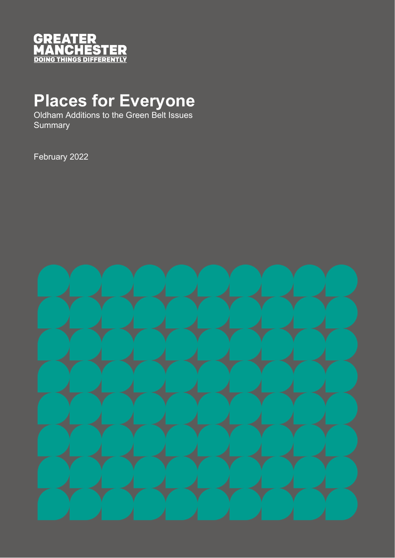

# **Places for Everyone**

Oldham Additions to the Green Belt Issues **Summary** 

February 2022

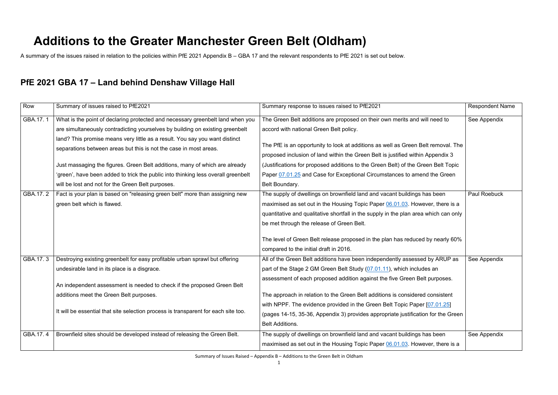Summary of Issues Raised – Appendix B – Additions to the Green Belt in Oldham

### **Additions to the Greater Manchester Green Belt (Oldham)**

A summary of the issues raised in relation to the policies within PfE 2021 Appendix B – GBA 17 and the relevant respondents to PfE 2021 is set out below.

### **PfE 2021 GBA 17 – Land behind Denshaw Village Hall**

| Row      | Summary of issues raised to PfE2021                                                | Summary response to issues raised to PfE2021                                         | <b>Respondent Name</b> |
|----------|------------------------------------------------------------------------------------|--------------------------------------------------------------------------------------|------------------------|
| GBA.17.1 | What is the point of declaring protected and necessary greenbelt land when you     | The Green Belt additions are proposed on their own merits and will need to           | See Appendix           |
|          | are simultaneously contradicting yourselves by building on existing greenbelt      | accord with national Green Belt policy.                                              |                        |
|          | land? This promise means very little as a result. You say you want distinct        |                                                                                      |                        |
|          | separations between areas but this is not the case in most areas.                  | The PfE is an opportunity to look at additions as well as Green Belt removal. The    |                        |
|          |                                                                                    | proposed inclusion of land within the Green Belt is justified within Appendix 3      |                        |
|          | Just massaging the figures. Green Belt additions, many of which are already        | (Justifications for proposed additions to the Green Belt) of the Green Belt Topic    |                        |
|          | 'green', have been added to trick the public into thinking less overall greenbelt  | Paper 07.01.25 and Case for Exceptional Circumstances to amend the Green             |                        |
|          | will be lost and not for the Green Belt purposes.                                  | Belt Boundary.                                                                       |                        |
| GBA.17.2 | Fact is your plan is based on "releasing green belt" more than assigning new       | The supply of dwellings on brownfield land and vacant buildings has been             | <b>Paul Roebuck</b>    |
|          | green belt which is flawed.                                                        | maximised as set out in the Housing Topic Paper 06.01.03. However, there is a        |                        |
|          |                                                                                    | quantitative and qualitative shortfall in the supply in the plan area which can only |                        |
|          |                                                                                    | be met through the release of Green Belt.                                            |                        |
|          |                                                                                    |                                                                                      |                        |
|          |                                                                                    | The level of Green Belt release proposed in the plan has reduced by nearly 60%       |                        |
|          |                                                                                    | compared to the initial draft in 2016.                                               |                        |
| GBA.17.3 | Destroying existing greenbelt for easy profitable urban sprawl but offering        | All of the Green Belt additions have been independently assessed by ARUP as          | See Appendix           |
|          | undesirable land in its place is a disgrace.                                       | part of the Stage 2 GM Green Belt Study (07.01.11), which includes an                |                        |
|          |                                                                                    | assessment of each proposed addition against the five Green Belt purposes.           |                        |
|          | An independent assessment is needed to check if the proposed Green Belt            |                                                                                      |                        |
|          | additions meet the Green Belt purposes.                                            | The approach in relation to the Green Belt additions is considered consistent        |                        |
|          |                                                                                    | with NPPF. The evidence provided in the Green Belt Topic Paper [07.01.25]            |                        |
|          | It will be essential that site selection process is transparent for each site too. | (pages 14-15, 35-36, Appendix 3) provides appropriate justification for the Green    |                        |
|          |                                                                                    | <b>Belt Additions.</b>                                                               |                        |
| GBA.17.4 | Brownfield sites should be developed instead of releasing the Green Belt.          | The supply of dwellings on brownfield land and vacant buildings has been             | See Appendix           |
|          |                                                                                    | maximised as set out in the Housing Topic Paper 06.01.03. However, there is a        |                        |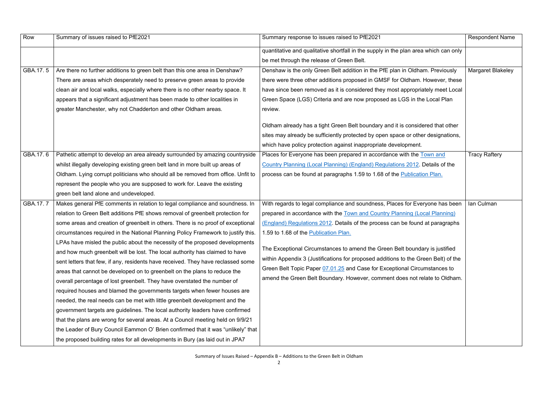| Row      | Summary of issues raised to PfE2021                                               | Summary response to issues raised to PfE2021                                                                                                                      | <b>Respondent Name</b>   |
|----------|-----------------------------------------------------------------------------------|-------------------------------------------------------------------------------------------------------------------------------------------------------------------|--------------------------|
|          |                                                                                   | quantitative and qualitative shortfall in the supply in the plan area which can only                                                                              |                          |
|          |                                                                                   | be met through the release of Green Belt.                                                                                                                         |                          |
| GBA.17.5 | Are there no further additions to green belt than this one area in Denshaw?       | Denshaw is the only Green Belt addition in the PfE plan in Oldham. Previously                                                                                     | <b>Margaret Blakeley</b> |
|          | There are areas which desperately need to preserve green areas to provide         | there were three other additions proposed in GMSF for Oldham. However, these                                                                                      |                          |
|          | clean air and local walks, especially where there is no other nearby space. It    | have since been removed as it is considered they most appropriately meet Local                                                                                    |                          |
|          | appears that a significant adjustment has been made to other localities in        | Green Space (LGS) Criteria and are now proposed as LGS in the Local Plan                                                                                          |                          |
|          | greater Manchester, why not Chadderton and other Oldham areas.                    | review.                                                                                                                                                           |                          |
|          |                                                                                   | Oldham already has a tight Green Belt boundary and it is considered that other                                                                                    |                          |
|          |                                                                                   | sites may already be sufficiently protected by open space or other designations,                                                                                  |                          |
|          |                                                                                   | which have policy protection against inappropriate development.                                                                                                   |                          |
| GBA.17.6 | Pathetic attempt to develop an area already surrounded by amazing countryside     | Places for Everyone has been prepared in accordance with the Town and                                                                                             | <b>Tracy Raftery</b>     |
|          | whilst illegally developing existing green belt land in more built up areas of    | Country Planning (Local Planning) (England) Regulations 2012. Details of the                                                                                      |                          |
|          | Oldham. Lying corrupt politicians who should all be removed from office. Unfit to | process can be found at paragraphs 1.59 to 1.68 of the Publication Plan.                                                                                          |                          |
|          | represent the people who you are supposed to work for. Leave the existing         |                                                                                                                                                                   |                          |
|          | green belt land alone and undeveloped.                                            |                                                                                                                                                                   |                          |
| GBA.17.7 | Makes general PfE comments in relation to legal compliance and soundness. In      | With regards to legal compliance and soundness, Places for Everyone has been                                                                                      | Ian Culman               |
|          | relation to Green Belt additions PfE shows removal of greenbelt protection for    | prepared in accordance with the Town and Country Planning (Local Planning)                                                                                        |                          |
|          | some areas and creation of greenbelt in others. There is no proof of exceptional  | (England) Regulations 2012. Details of the process can be found at paragraphs                                                                                     |                          |
|          | circumstances required in the National Planning Policy Framework to justify this. | 1.59 to 1.68 of the Publication Plan.                                                                                                                             |                          |
|          | LPAs have misled the public about the necessity of the proposed developments      |                                                                                                                                                                   |                          |
|          | and how much greenbelt will be lost. The local authority has claimed to have      | The Exceptional Circumstances to amend the Green Belt boundary is justified<br>within Appendix 3 (Justifications for proposed additions to the Green Belt) of the |                          |
|          | sent letters that few, if any, residents have received. They have reclassed some  |                                                                                                                                                                   |                          |
|          | areas that cannot be developed on to greenbelt on the plans to reduce the         | Green Belt Topic Paper 07.01.25 and Case for Exceptional Circumstances to                                                                                         |                          |
|          | overall percentage of lost greenbelt. They have overstated the number of          | amend the Green Belt Boundary. However, comment does not relate to Oldham.                                                                                        |                          |
|          | required houses and blamed the governments targets when fewer houses are          |                                                                                                                                                                   |                          |
|          | needed, the real needs can be met with little greenbelt development and the       |                                                                                                                                                                   |                          |
|          | government targets are guidelines. The local authority leaders have confirmed     |                                                                                                                                                                   |                          |
|          | that the plans are wrong for several areas. At a Council meeting held on 9/9/21   |                                                                                                                                                                   |                          |
|          | the Leader of Bury Council Eammon O' Brien confirmed that it was "unlikely" that  |                                                                                                                                                                   |                          |
|          | the proposed building rates for all developments in Bury (as laid out in JPA7     |                                                                                                                                                                   |                          |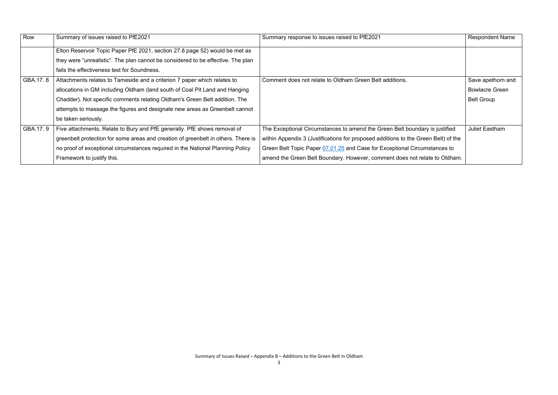| Row      | Summary of issues raised to PfE2021                                               | Summary response to issues raised to PfE2021                                       | <b>Respondent Name</b> |
|----------|-----------------------------------------------------------------------------------|------------------------------------------------------------------------------------|------------------------|
|          | Elton Reservoir Topic Paper PfE 2021, section 27.8 page 52) would be met as       |                                                                                    |                        |
|          | they were "unrealistic". The plan cannot be considered to be effective. The plan  |                                                                                    |                        |
|          | fails the effectiveness test for Soundness.                                       |                                                                                    |                        |
| GBA.17.8 | Attachments relates to Tameside and a criterion 7 paper which relates to          | Comment does not relate to Oldham Green Belt additions.                            | Save apethorn and      |
|          | allocations in GM including Oldham (land south of Coal Pit Land and Hanging       |                                                                                    | <b>Bowlacre Green</b>  |
|          | Chadder). Not specific comments relating Oldham's Green Belt addition. The        |                                                                                    | <b>Belt Group</b>      |
|          | attempts to massage the figures and designate new areas as Greenbelt cannot       |                                                                                    |                        |
|          | be taken seriously.                                                               |                                                                                    |                        |
| GBA.17.9 | Five attachments. Relate to Bury and PfE generally. PfE shows removal of          | The Exceptional Circumstances to amend the Green Belt boundary is justified        | <b>Juliet Eastham</b>  |
|          | greenbelt protection for some areas and creation of greenbelt in others. There is | within Appendix 3 (Justifications for proposed additions to the Green Belt) of the |                        |
|          | no proof of exceptional circumstances required in the National Planning Policy    | Green Belt Topic Paper 07.01.25 and Case for Exceptional Circumstances to          |                        |
|          | Framework to justify this.                                                        | amend the Green Belt Boundary. However, comment does not relate to Oldham.         |                        |